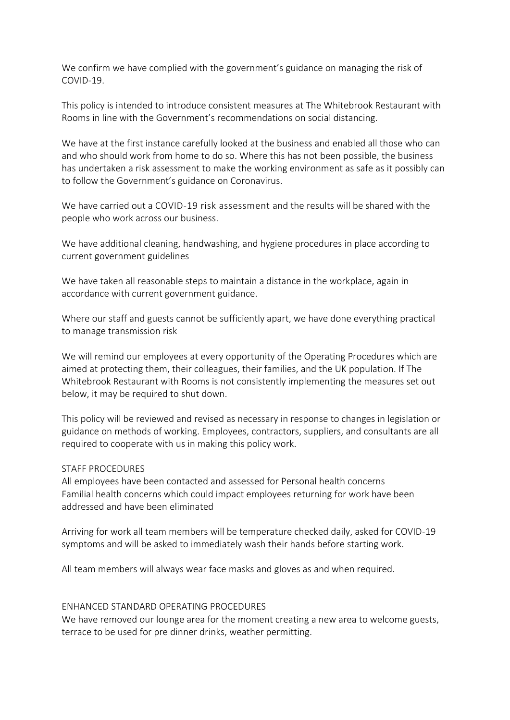We confirm we have complied with the government's guidance on managing the risk of COVID-19.

This policy is intended to introduce consistent measures at The Whitebrook Restaurant with Rooms in line with the Government's recommendations on social distancing.

We have at the first instance carefully looked at the business and enabled all those who can and who should work from home to do so. Where this has not been possible, the business has undertaken a risk assessment to make the working environment as safe as it possibly can to follow the Government's guidance on Coronavirus.

We have carried out a COVID-19 risk assessment and the results will be shared with the people who work across our business.

We have additional cleaning, handwashing, and hygiene procedures in place according to current government guidelines

We have taken all reasonable steps to maintain a distance in the workplace, again in accordance with current government guidance.

Where our staff and guests cannot be sufficiently apart, we have done everything practical to manage transmission risk

We will remind our employees at every opportunity of the Operating Procedures which are aimed at protecting them, their colleagues, their families, and the UK population. If The Whitebrook Restaurant with Rooms is not consistently implementing the measures set out below, it may be required to shut down.

This policy will be reviewed and revised as necessary in response to changes in legislation or guidance on methods of working. Employees, contractors, suppliers, and consultants are all required to cooperate with us in making this policy work.

## STAFF PROCEDURES

All employees have been contacted and assessed for Personal health concerns Familial health concerns which could impact employees returning for work have been addressed and have been eliminated

Arriving for work all team members will be temperature checked daily, asked for COVID-19 symptoms and will be asked to immediately wash their hands before starting work.

All team members will always wear face masks and gloves as and when required.

## ENHANCED STANDARD OPERATING PROCEDURES

We have removed our lounge area for the moment creating a new area to welcome guests, terrace to be used for pre dinner drinks, weather permitting.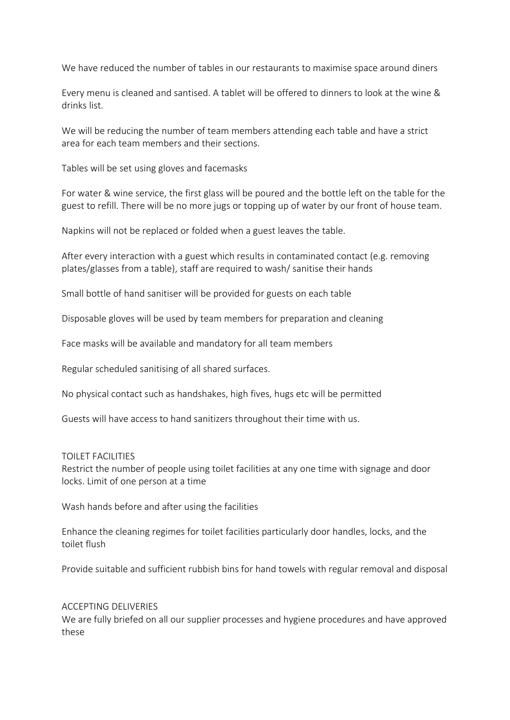We have reduced the number of tables in our restaurants to maximise space around diners

Every menu is cleaned and santised. A tablet will be offered to dinners to look at the wine & drinks list.

We will be reducing the number of team members attending each table and have a strict area for each team members and their sections.

Tables will be set using gloves and facemasks

For water & wine service, the first glass will be poured and the bottle left on the table for the guest to refill. There will be no more jugs or topping up of water by our front of house team.

Napkins will not be replaced or folded when a guest leaves the table.

After every interaction with a guest which results in contaminated contact (e.g. removing plates/glasses from a table), staff are required to wash/ sanitise their hands

Small bottle of hand sanitiser will be provided for guests on each table

Disposable gloves will be used by team members for preparation and cleaning

Face masks will be available and mandatory for all team members

Regular scheduled sanitising of all shared surfaces.

No physical contact such as handshakes, high fives, hugs etc will be permitted

Guests will have access to hand sanitizers throughout their time with us.

## TOILET FACILITIES

Restrict the number of people using toilet facilities at any one time with signage and door locks. Limit of one person at a time

Wash hands before and after using the facilities

Enhance the cleaning regimes for toilet facilities particularly door handles, locks, and the toilet flush

Provide suitable and sufficient rubbish bins for hand towels with regular removal and disposal

## ACCEPTING DELIVERIES

We are fully briefed on all our supplier processes and hygiene procedures and have approved these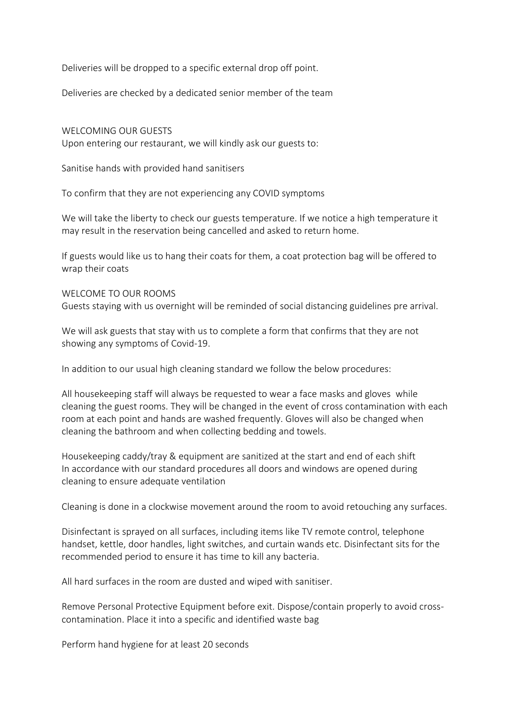Deliveries will be dropped to a specific external drop off point.

Deliveries are checked by a dedicated senior member of the team

WELCOMING OUR GUESTS Upon entering our restaurant, we will kindly ask our guests to:

Sanitise hands with provided hand sanitisers

To confirm that they are not experiencing any COVID symptoms

We will take the liberty to check our guests temperature. If we notice a high temperature it may result in the reservation being cancelled and asked to return home.

If guests would like us to hang their coats for them, a coat protection bag will be offered to wrap their coats

### WELCOME TO OUR ROOMS

Guests staying with us overnight will be reminded of social distancing guidelines pre arrival.

We will ask guests that stay with us to complete a form that confirms that they are not showing any symptoms of Covid-19.

In addition to our usual high cleaning standard we follow the below procedures:

All housekeeping staff will always be requested to wear a face masks and gloves while cleaning the guest rooms. They will be changed in the event of cross contamination with each room at each point and hands are washed frequently. Gloves will also be changed when cleaning the bathroom and when collecting bedding and towels.

Housekeeping caddy/tray & equipment are sanitized at the start and end of each shift In accordance with our standard procedures all doors and windows are opened during cleaning to ensure adequate ventilation

Cleaning is done in a clockwise movement around the room to avoid retouching any surfaces.

Disinfectant is sprayed on all surfaces, including items like TV remote control, telephone handset, kettle, door handles, light switches, and curtain wands etc. Disinfectant sits for the recommended period to ensure it has time to kill any bacteria.

All hard surfaces in the room are dusted and wiped with sanitiser.

Remove Personal Protective Equipment before exit. Dispose/contain properly to avoid crosscontamination. Place it into a specific and identified waste bag

Perform hand hygiene for at least 20 seconds